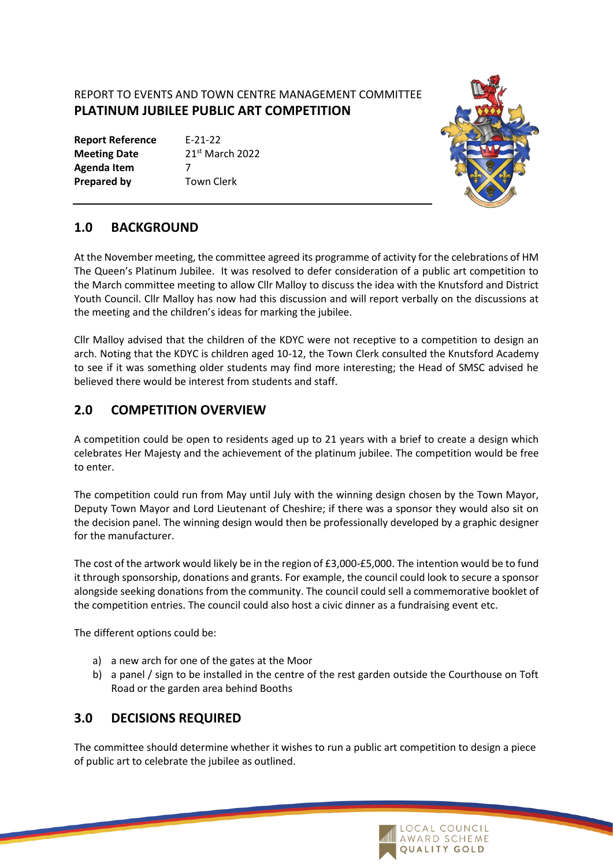#### REPORT TO EVENTS AND TOWN CENTRE MANAGEMENT COMMITTEE **PLATINUM JUBILEE PUBLIC ART COMPETITION**

| <b>Report Reference</b> | $F - 21 - 22$               |
|-------------------------|-----------------------------|
| <b>Meeting Date</b>     | 21 <sup>st</sup> March 2022 |
| Agenda Item             | 7                           |
| <b>Prepared by</b>      | <b>Town Clerk</b>           |
|                         |                             |



#### **1.0 BACKGROUND**

At the November meeting, the committee agreed its programme of activity for the celebrations of HM The Queen's Platinum Jubilee. It was resolved to defer consideration of a public art competition to the March committee meeting to allow Cllr Malloy to discuss the idea with the Knutsford and District Youth Council. Cllr Malloy has now had this discussion and will report verbally on the discussions at the meeting and the children's ideas for marking the jubilee.

Cllr Malloy advised that the children of the KDYC were not receptive to a competition to design an arch. Noting that the KDYC is children aged 10-12, the Town Clerk consulted the Knutsford Academy to see if it was something older students may find more interesting; the Head of SMSC advised he believed there would be interest from students and staff.

## **2.0 COMPETITION OVERVIEW**

A competition could be open to residents aged up to 21 years with a brief to create a design which celebrates Her Majesty and the achievement of the platinum jubilee. The competition would be free to enter.

The competition could run from May until July with the winning design chosen by the Town Mayor, Deputy Town Mayor and Lord Lieutenant of Cheshire; if there was a sponsor they would also sit on the decision panel. The winning design would then be professionally developed by a graphic designer for the manufacturer.

The cost of the artwork would likely be in the region of £3,000-£5,000. The intention would be to fund it through sponsorship, donations and grants. For example, the council could look to secure a sponsor alongside seeking donations from the community. The council could sell a commemorative booklet of the competition entries. The council could also host a civic dinner as a fundraising event etc.

The different options could be:

- a) a new arch for one of the gates at the Moor
- b) a panel / sign to be installed in the centre of the rest garden outside the Courthouse on Toft Road or the garden area behind Booths

## **3.0 DECISIONS REQUIRED**

The committee should determine whether it wishes to run a public art competition to design a piece of public art to celebrate the jubilee as outlined.

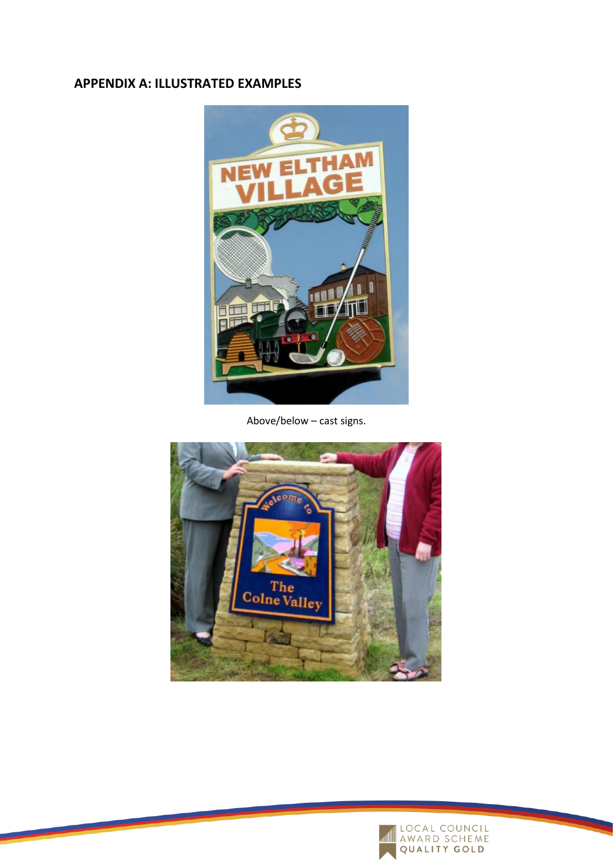# **APPENDIX A: ILLUSTRATED EXAMPLES**



Above/below – cast signs.